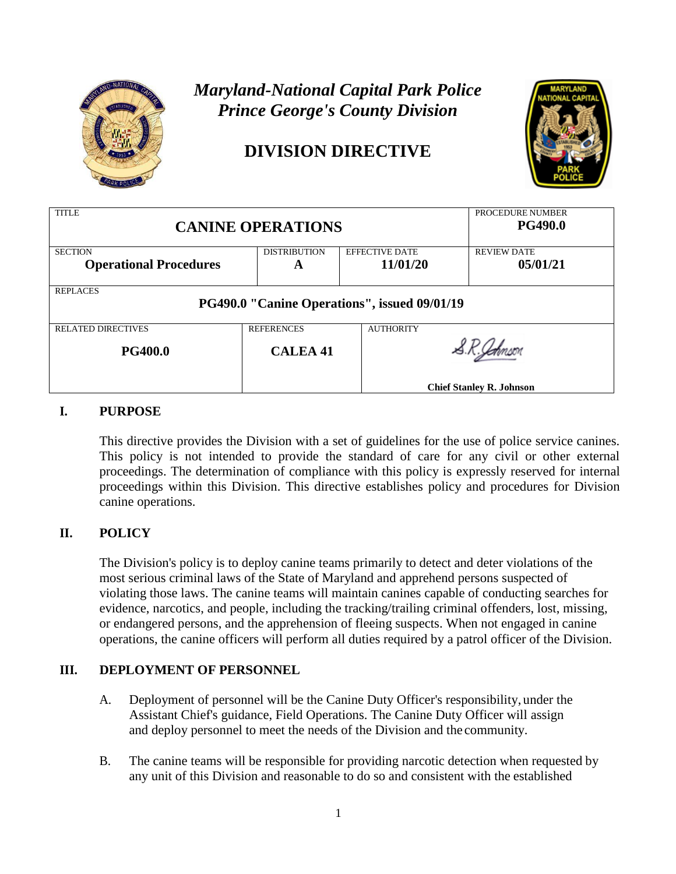

# *Maryland-National Capital Park Police Prince George's County Division*

# **DIVISION DIRECTIVE**



| <b>TITLE</b><br><b>CANINE OPERATIONS</b>     |                                       |                       | PROCEDURE NUMBER<br><b>PG490.0</b> |  |
|----------------------------------------------|---------------------------------------|-----------------------|------------------------------------|--|
| <b>SECTION</b>                               | <b>DISTRIBUTION</b>                   | <b>EFFECTIVE DATE</b> | <b>REVIEW DATE</b>                 |  |
| <b>Operational Procedures</b>                | A                                     | 11/01/20              | 05/01/21                           |  |
| <b>REPLACES</b>                              |                                       |                       |                                    |  |
| PG490.0 "Canine Operations", issued 09/01/19 |                                       |                       |                                    |  |
| <b>RELATED DIRECTIVES</b>                    | <b>REFERENCES</b><br><b>AUTHORITY</b> |                       |                                    |  |
| <b>PG400.0</b>                               | <b>CALEA 41</b>                       |                       |                                    |  |
|                                              |                                       |                       | <b>Chief Stanley R. Johnson</b>    |  |

# **I. PURPOSE**

This directive provides the Division with a set of guidelines for the use of police service canines. This policy is not intended to provide the standard of care for any civil or other external proceedings. The determination of compliance with this policy is expressly reserved for internal proceedings within this Division. This directive establishes policy and procedures for Division canine operations.

# **II. POLICY**

The Division's policy is to deploy canine teams primarily to detect and deter violations of the most serious criminal laws of the State of Maryland and apprehend persons suspected of violating those laws. The canine teams will maintain canines capable of conducting searches for evidence, narcotics, and people, including the tracking/trailing criminal offenders, lost, missing, or endangered persons, and the apprehension of fleeing suspects. When not engaged in canine operations, the canine officers will perform all duties required by a patrol officer of the Division.

# **III. DEPLOYMENT OF PERSONNEL**

- A. Deployment of personnel will be the Canine Duty Officer's responsibility, under the Assistant Chief's guidance, Field Operations. The Canine Duty Officer will assign and deploy personnel to meet the needs of the Division and the community.
- B. The canine teams will be responsible for providing narcotic detection when requested by any unit of this Division and reasonable to do so and consistent with the established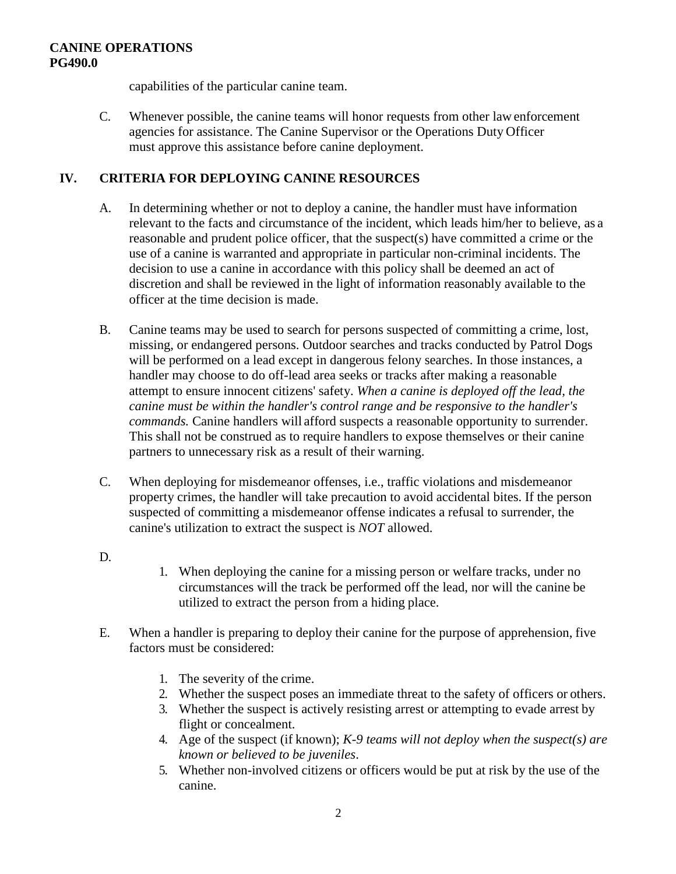capabilities of the particular canine team.

C. Whenever possible, the canine teams will honor requests from other lawenforcement agencies for assistance. The Canine Supervisor or the Operations Duty Officer must approve this assistance before canine deployment.

## **IV. CRITERIA FOR DEPLOYING CANINE RESOURCES**

- A. In determining whether or not to deploy a canine, the handler must have information relevant to the facts and circumstance of the incident, which leads him/her to believe, as a reasonable and prudent police officer, that the suspect(s) have committed a crime or the use of a canine is warranted and appropriate in particular non-criminal incidents. The decision to use a canine in accordance with this policy shall be deemed an act of discretion and shall be reviewed in the light of information reasonably available to the officer at the time decision is made.
- B. Canine teams may be used to search for persons suspected of committing a crime, lost, missing, or endangered persons. Outdoor searches and tracks conducted by Patrol Dogs will be performed on a lead except in dangerous felony searches. In those instances, a handler may choose to do off-lead area seeks or tracks after making a reasonable attempt to ensure innocent citizens' safety. *When a canine is deployed off the lead, the canine must be within the handler's control range and be responsive to the handler's commands.* Canine handlers will afford suspects a reasonable opportunity to surrender. This shall not be construed as to require handlers to expose themselves or their canine partners to unnecessary risk as a result of their warning.
- C. When deploying for misdemeanor offenses, i.e., traffic violations and misdemeanor property crimes, the handler will take precaution to avoid accidental bites. If the person suspected of committing a misdemeanor offense indicates a refusal to surrender, the canine's utilization to extract the suspect is *NOT* allowed.
- D.
- 1. When deploying the canine for a missing person or welfare tracks, under no circumstances will the track be performed off the lead, nor will the canine be utilized to extract the person from a hiding place.
- E. When a handler is preparing to deploy their canine for the purpose of apprehension, five factors must be considered:
	- 1. The severity of the crime.
	- 2. Whether the suspect poses an immediate threat to the safety of officers or others.
	- 3. Whether the suspect is actively resisting arrest or attempting to evade arrest by flight or concealment.
	- 4. Age of the suspect (if known); *K-9 teams will not deploy when the suspect(s) are known or believed to be juveniles*.
	- 5. Whether non-involved citizens or officers would be put at risk by the use of the canine.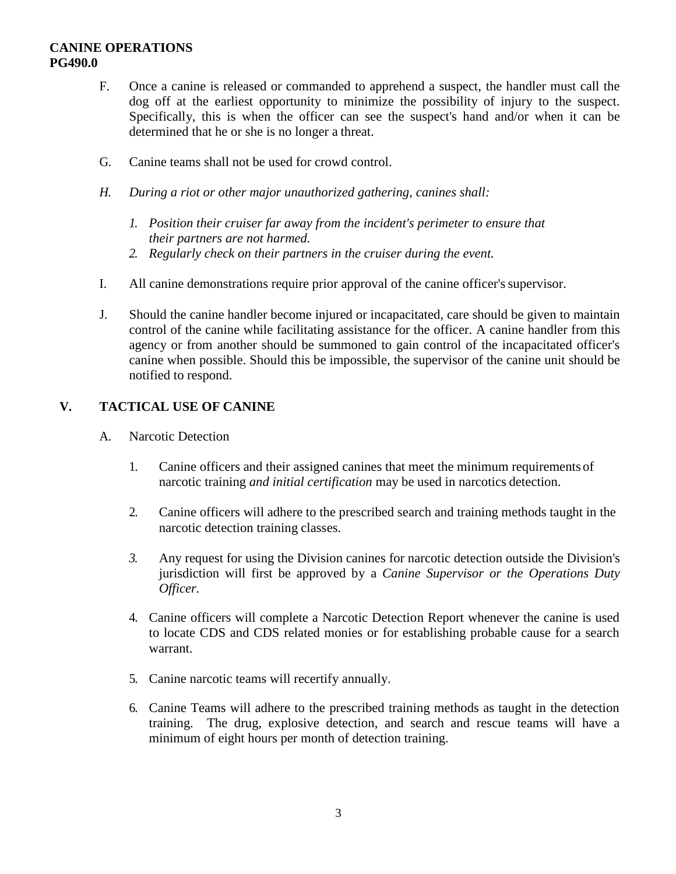- F. Once a canine is released or commanded to apprehend a suspect, the handler must call the dog off at the earliest opportunity to minimize the possibility of injury to the suspect. Specifically, this is when the officer can see the suspect's hand and/or when it can be determined that he or she is no longer a threat.
- G. Canine teams shall not be used for crowd control.
- *H. During a riot or other major unauthorized gathering, canines shall:*
	- *1. Position their cruiser far away from the incident's perimeter to ensure that their partners are not harmed.*
	- *2. Regularly check on their partners in the cruiser during the event.*
- I. All canine demonstrations require prior approval of the canine officer's supervisor.
- J. Should the canine handler become injured or incapacitated, care should be given to maintain control of the canine while facilitating assistance for the officer. A canine handler from this agency or from another should be summoned to gain control of the incapacitated officer's canine when possible. Should this be impossible, the supervisor of the canine unit should be notified to respond.

# **V. TACTICAL USE OF CANINE**

- A. Narcotic Detection
	- 1. Canine officers and their assigned canines that meet the minimum requirements of narcotic training *and initial certification* may be used in narcotics detection.
	- 2. Canine officers will adhere to the prescribed search and training methods taught in the narcotic detection training classes.
	- *3.* Any request for using the Division canines for narcotic detection outside the Division's jurisdiction will first be approved by a *Canine Supervisor or the Operations Duty Officer.*
	- 4. Canine officers will complete a Narcotic Detection Report whenever the canine is used to locate CDS and CDS related monies or for establishing probable cause for a search warrant.
	- 5. Canine narcotic teams will recertify annually.
	- 6. Canine Teams will adhere to the prescribed training methods as taught in the detection training. The drug, explosive detection, and search and rescue teams will have a minimum of eight hours per month of detection training.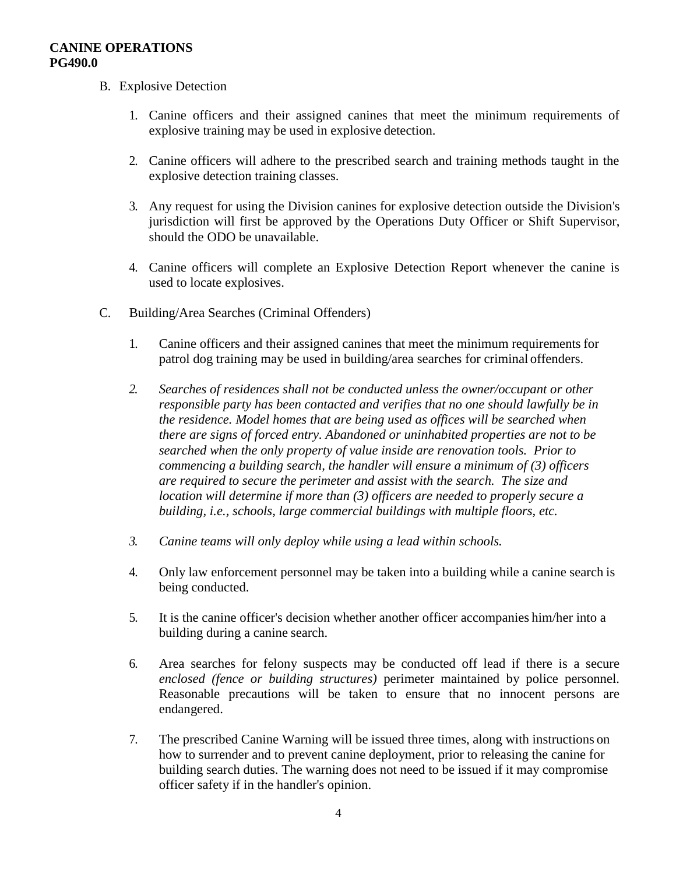- B. Explosive Detection
	- 1. Canine officers and their assigned canines that meet the minimum requirements of explosive training may be used in explosive detection.
	- 2. Canine officers will adhere to the prescribed search and training methods taught in the explosive detection training classes.
	- 3. Any request for using the Division canines for explosive detection outside the Division's jurisdiction will first be approved by the Operations Duty Officer or Shift Supervisor, should the ODO be unavailable.
	- 4. Canine officers will complete an Explosive Detection Report whenever the canine is used to locate explosives.
- C. Building/Area Searches (Criminal Offenders)
	- 1. Canine officers and their assigned canines that meet the minimum requirements for patrol dog training may be used in building/area searches for criminal offenders.
	- *2. Searches of residences shall not be conducted unless the owner/occupant or other responsible party has been contacted and verifies that no one should lawfully be in the residence. Model homes that are being used as offices will be searched when there are signs of forced entry. Abandoned or uninhabited properties are not to be searched when the only property of value inside are renovation tools. Prior to commencing a building search, the handler will ensure a minimum of (3) officers are required to secure the perimeter and assist with the search. The size and location will determine if more than (3) officers are needed to properly secure a building, i.e., schools, large commercial buildings with multiple floors, etc.*
	- *3. Canine teams will only deploy while using a lead within schools.*
	- 4. Only law enforcement personnel may be taken into a building while a canine search is being conducted.
	- 5. It is the canine officer's decision whether another officer accompanies him/her into a building during a canine search.
	- 6. Area searches for felony suspects may be conducted off lead if there is a secure *enclosed (fence or building structures)* perimeter maintained by police personnel. Reasonable precautions will be taken to ensure that no innocent persons are endangered.
	- 7. The prescribed Canine Warning will be issued three times, along with instructions on how to surrender and to prevent canine deployment, prior to releasing the canine for building search duties. The warning does not need to be issued if it may compromise officer safety if in the handler's opinion.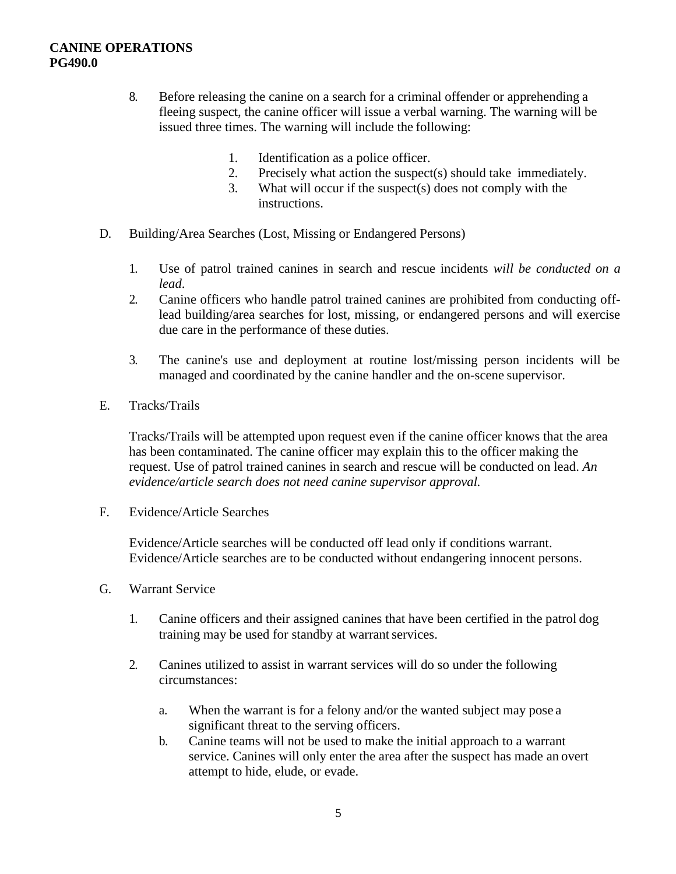- 8. Before releasing the canine on a search for a criminal offender or apprehending a fleeing suspect, the canine officer will issue a verbal warning. The warning will be issued three times. The warning will include the following:
	- 1. Identification as a police officer.
	- 2. Precisely what action the suspect(s) should take immediately.
	- 3. What will occur if the suspect(s) does not comply with the instructions.
- D. Building/Area Searches (Lost, Missing or Endangered Persons)
	- 1. Use of patrol trained canines in search and rescue incidents *will be conducted on a lead*.
	- 2. Canine officers who handle patrol trained canines are prohibited from conducting offlead building/area searches for lost, missing, or endangered persons and will exercise due care in the performance of these duties.
	- 3. The canine's use and deployment at routine lost/missing person incidents will be managed and coordinated by the canine handler and the on-scene supervisor.
- E. Tracks/Trails

Tracks/Trails will be attempted upon request even if the canine officer knows that the area has been contaminated. The canine officer may explain this to the officer making the request. Use of patrol trained canines in search and rescue will be conducted on lead. *An evidence/article search does not need canine supervisor approval.*

F. Evidence/Article Searches

Evidence/Article searches will be conducted off lead only if conditions warrant. Evidence/Article searches are to be conducted without endangering innocent persons.

- G. Warrant Service
	- 1. Canine officers and their assigned canines that have been certified in the patrol dog training may be used for standby at warrant services.
	- 2. Canines utilized to assist in warrant services will do so under the following circumstances:
		- a. When the warrant is for a felony and/or the wanted subject may pose a significant threat to the serving officers.
		- b. Canine teams will not be used to make the initial approach to a warrant service. Canines will only enter the area after the suspect has made an overt attempt to hide, elude, or evade.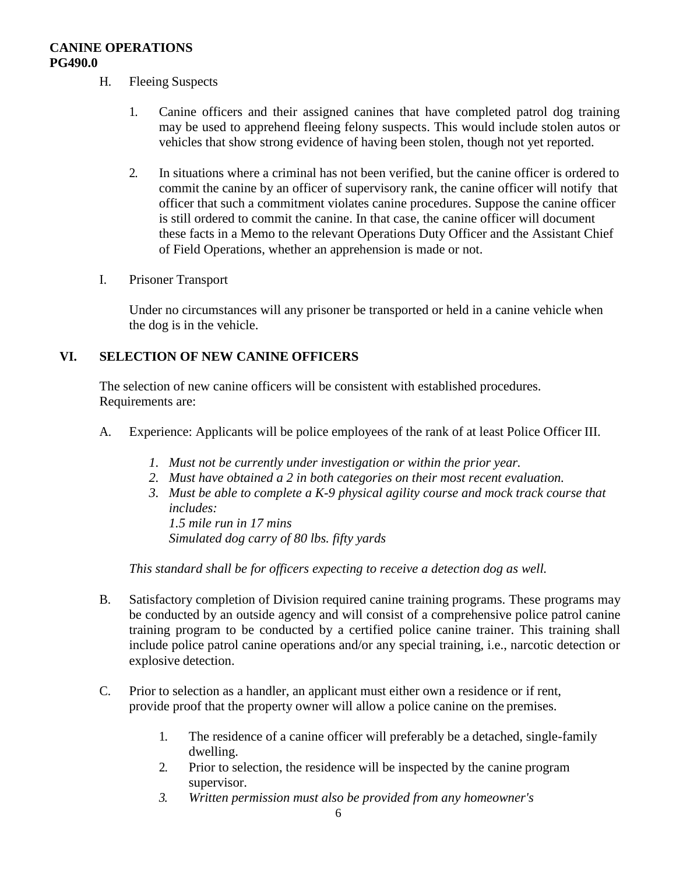- H. Fleeing Suspects
	- 1. Canine officers and their assigned canines that have completed patrol dog training may be used to apprehend fleeing felony suspects. This would include stolen autos or vehicles that show strong evidence of having been stolen, though not yet reported.
	- 2. In situations where a criminal has not been verified, but the canine officer is ordered to commit the canine by an officer of supervisory rank, the canine officer will notify that officer that such a commitment violates canine procedures. Suppose the canine officer is still ordered to commit the canine. In that case, the canine officer will document these facts in a Memo to the relevant Operations Duty Officer and the Assistant Chief of Field Operations, whether an apprehension is made or not.
- I. Prisoner Transport

Under no circumstances will any prisoner be transported or held in a canine vehicle when the dog is in the vehicle.

## **VI. SELECTION OF NEW CANINE OFFICERS**

The selection of new canine officers will be consistent with established procedures. Requirements are:

- A. Experience: Applicants will be police employees of the rank of at least Police Officer III.
	- *1. Must not be currently under investigation or within the prior year.*
	- *2. Must have obtained a 2 in both categories on their most recent evaluation.*
	- *3. Must be able to complete a K-9 physical agility course and mock track course that includes:*

*1.5 mile run in 17 mins Simulated dog carry of 80 lbs. fifty yards* 

*This standard shall be for officers expecting to receive a detection dog as well.*

- B. Satisfactory completion of Division required canine training programs. These programs may be conducted by an outside agency and will consist of a comprehensive police patrol canine training program to be conducted by a certified police canine trainer. This training shall include police patrol canine operations and/or any special training, i.e., narcotic detection or explosive detection.
- C. Prior to selection as a handler, an applicant must either own a residence or if rent, provide proof that the property owner will allow a police canine on the premises.
	- 1. The residence of a canine officer will preferably be a detached, single-family dwelling.
	- 2. Prior to selection, the residence will be inspected by the canine program supervisor.
	- *3. Written permission must also be provided from any homeowner's*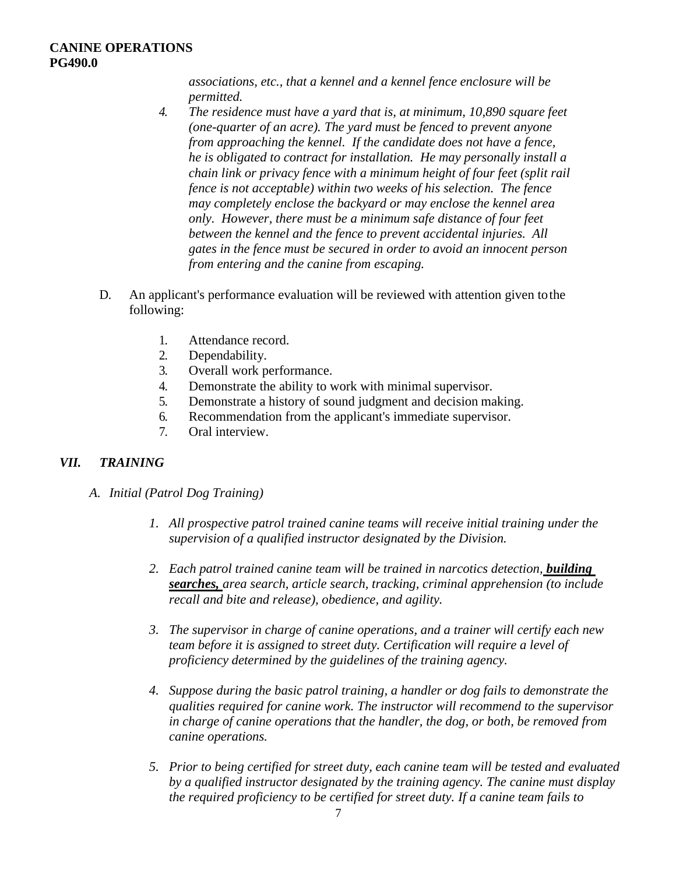*associations, etc., that a kennel and a kennel fence enclosure will be permitted.*

- *4. The residence must have a yard that is, at minimum, 10,890 square feet (one-quarter of an acre). The yard must be fenced to prevent anyone from approaching the kennel. If the candidate does not have a fence, he is obligated to contract for installation. He may personally install a chain link or privacy fence with a minimum height of four feet (split rail fence is not acceptable) within two weeks of his selection. The fence may completely enclose the backyard or may enclose the kennel area only. However, there must be a minimum safe distance of four feet between the kennel and the fence to prevent accidental injuries. All gates in the fence must be secured in order to avoid an innocent person from entering and the canine from escaping.*
- D. An applicant's performance evaluation will be reviewed with attention given tothe following:
	- 1. Attendance record.
	- 2. Dependability.
	- 3. Overall work performance.
	- 4. Demonstrate the ability to work with minimal supervisor.
	- 5. Demonstrate a history of sound judgment and decision making.
	- 6. Recommendation from the applicant's immediate supervisor.
	- 7. Oral interview.

#### *VII. TRAINING*

- *A. Initial (Patrol Dog Training)*
	- *1. All prospective patrol trained canine teams will receive initial training under the supervision of a qualified instructor designated by the Division.*
	- *2. Each patrol trained canine team will be trained in narcotics detection, building searches, area search, article search, tracking, criminal apprehension (to include recall and bite and release), obedience, and agility.*
	- *3. The supervisor in charge of canine operations, and a trainer will certify each new team before it is assigned to street duty. Certification will require a level of proficiency determined by the guidelines of the training agency.*
	- *4. Suppose during the basic patrol training, a handler or dog fails to demonstrate the qualities required for canine work. The instructor will recommend to the supervisor in charge of canine operations that the handler, the dog, or both, be removed from canine operations.*
	- *5. Prior to being certified for street duty, each canine team will be tested and evaluated by a qualified instructor designated by the training agency. The canine must display the required proficiency to be certified for street duty. If a canine team fails to*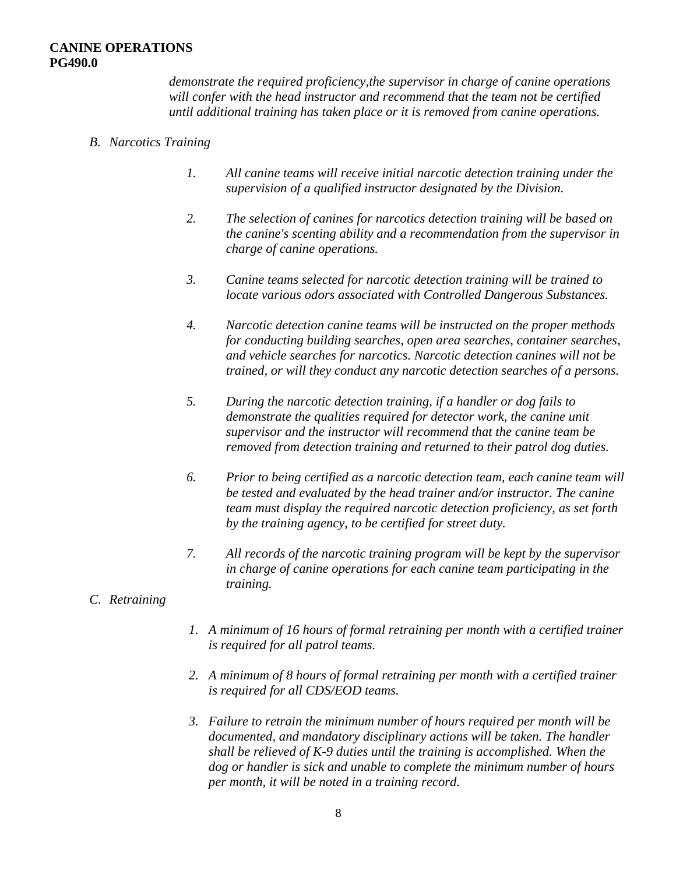*demonstrate the required proficiency,the supervisor in charge of canine operations will confer with the head instructor and recommend that the team not be certified until additional training has taken place or it is removed from canine operations.*

- *B. Narcotics Training*
	- *1. All canine teams will receive initial narcotic detection training under the supervision of a qualified instructor designated by the Division.*
	- *2. The selection of canines for narcotics detection training will be based on the canine's scenting ability and a recommendation from the supervisor in charge of canine operations.*
	- *3. Canine teams selected for narcotic detection training will be trained to locate various odors associated with Controlled Dangerous Substances.*
	- *4. Narcotic detection canine teams will be instructed on the proper methods for conducting building searches, open area searches, container searches, and vehicle searches for narcotics. Narcotic detection canines will not be trained, or will they conduct any narcotic detection searches of a persons.*
	- *5. During the narcotic detection training, if a handler or dog fails to demonstrate the qualities required for detector work, the canine unit supervisor and the instructor will recommend that the canine team be removed from detection training and returned to their patrol dog duties.*
	- *6. Prior to being certified as a narcotic detection team, each canine team will be tested and evaluated by the head trainer and/or instructor. The canine team must display the required narcotic detection proficiency, as set forth by the training agency, to be certified for street duty.*
	- *7. All records of the narcotic training program will be kept by the supervisor in charge of canine operations for each canine team participating in the training.*
- *C. Retraining*
- *1. A minimum of 16 hours of formal retraining per month with a certified trainer is required for all patrol teams.*
- *2. A minimum of 8 hours of formal retraining per month with a certified trainer is required for all CDS/EOD teams.*
- *3. Failure to retrain the minimum number of hours required per month will be documented, and mandatory disciplinary actions will be taken. The handler shall be relieved of K-9 duties until the training is accomplished. When the dog or handler is sick and unable to complete the minimum number of hours per month, it will be noted in a training record.*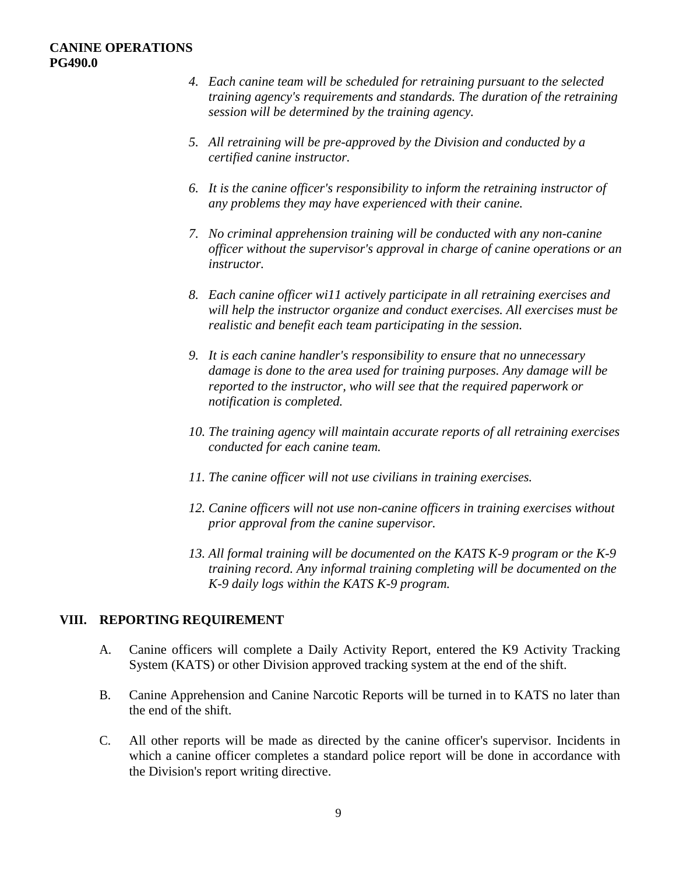- *4. Each canine team will be scheduled for retraining pursuant to the selected training agency's requirements and standards. The duration of the retraining session will be determined by the training agency.*
- *5. All retraining will be pre-approved by the Division and conducted by a certified canine instructor.*
- *6. It is the canine officer's responsibility to inform the retraining instructor of any problems they may have experienced with their canine.*
- *7. No criminal apprehension training will be conducted with any non-canine officer without the supervisor's approval in charge of canine operations or an instructor.*
- *8. Each canine officer wi11 actively participate in all retraining exercises and will help the instructor organize and conduct exercises. All exercises must be realistic and benefit each team participating in the session.*
- *9. It is each canine handler's responsibility to ensure that no unnecessary damage is done to the area used for training purposes. Any damage will be reported to the instructor, who will see that the required paperwork or notification is completed.*
- *10. The training agency will maintain accurate reports of all retraining exercises conducted for each canine team.*
- *11. The canine officer will not use civilians in training exercises.*
- *12. Canine officers will not use non-canine officers in training exercises without prior approval from the canine supervisor.*
- *13. All formal training will be documented on the KATS K-9 program or the K-9 training record. Any informal training completing will be documented on the K-9 daily logs within the KATS K-9 program.*

# **VIII. REPORTING REQUIREMENT**

- A. Canine officers will complete a Daily Activity Report, entered the K9 Activity Tracking System (KATS) or other Division approved tracking system at the end of the shift.
- B. Canine Apprehension and Canine Narcotic Reports will be turned in to KATS no later than the end of the shift.
- C. All other reports will be made as directed by the canine officer's supervisor. Incidents in which a canine officer completes a standard police report will be done in accordance with the Division's report writing directive.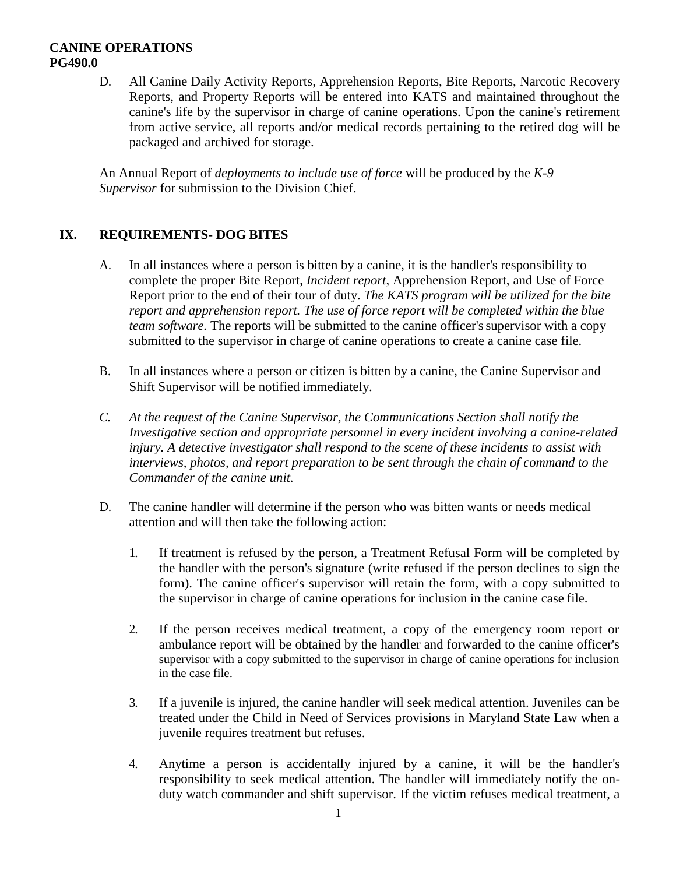D. All Canine Daily Activity Reports*,* Apprehension Reports, Bite Reports, Narcotic Recovery Reports, and Property Reports will be entered into KATS and maintained throughout the canine's life by the supervisor in charge of canine operations. Upon the canine's retirement from active service, all reports and/or medical records pertaining to the retired dog will be packaged and archived for storage.

An Annual Report of *deployments to include use of force* will be produced by the *K-9 Supervisor* for submission to the Division Chief.

# **IX. REQUIREMENTS- DOG BITES**

- A. In all instances where a person is bitten by a canine, it is the handler's responsibility to complete the proper Bite Report, *Incident report*, Apprehension Report, and Use of Force Report prior to the end of their tour of duty. *The KATS program will be utilized for the bite report and apprehension report. The use of force report will be completed within the blue team software.* The reports will be submitted to the canine officer's supervisor with a copy submitted to the supervisor in charge of canine operations to create a canine case file.
- B. In all instances where a person or citizen is bitten by a canine, the Canine Supervisor and Shift Supervisor will be notified immediately.
- *C. At the request of the Canine Supervisor, the Communications Section shall notify the Investigative section and appropriate personnel in every incident involving a canine-related injury. A detective investigator shall respond to the scene of these incidents to assist with interviews, photos, and report preparation to be sent through the chain of command to the Commander of the canine unit.*
- D. The canine handler will determine if the person who was bitten wants or needs medical attention and will then take the following action:
	- 1. If treatment is refused by the person, a Treatment Refusal Form will be completed by the handler with the person's signature (write refused if the person declines to sign the form). The canine officer's supervisor will retain the form, with a copy submitted to the supervisor in charge of canine operations for inclusion in the canine case file.
	- 2. If the person receives medical treatment, a copy of the emergency room report or ambulance report will be obtained by the handler and forwarded to the canine officer's supervisor with a copy submitted to the supervisor in charge of canine operations for inclusion in the case file.
	- 3. If a juvenile is injured, the canine handler will seek medical attention. Juveniles can be treated under the Child in Need of Services provisions in Maryland State Law when a juvenile requires treatment but refuses.
	- 4. Anytime a person is accidentally injured by a canine, it will be the handler's responsibility to seek medical attention. The handler will immediately notify the onduty watch commander and shift supervisor. If the victim refuses medical treatment, a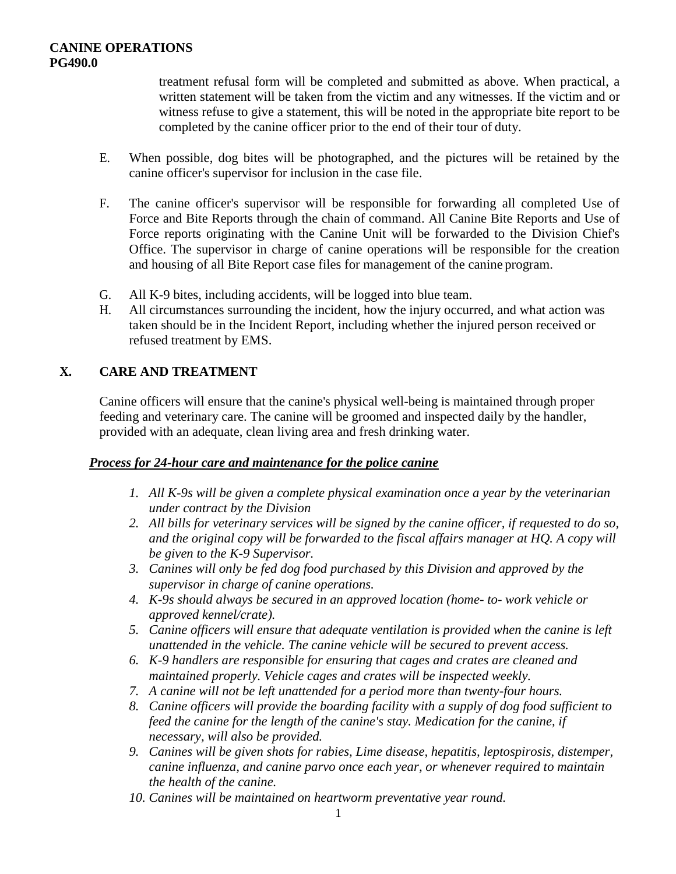treatment refusal form will be completed and submitted as above. When practical, a written statement will be taken from the victim and any witnesses. If the victim and or witness refuse to give a statement, this will be noted in the appropriate bite report to be completed by the canine officer prior to the end of their tour of duty.

- E. When possible, dog bites will be photographed, and the pictures will be retained by the canine officer's supervisor for inclusion in the case file.
- F. The canine officer's supervisor will be responsible for forwarding all completed Use of Force and Bite Reports through the chain of command. All Canine Bite Reports and Use of Force reports originating with the Canine Unit will be forwarded to the Division Chief's Office. The supervisor in charge of canine operations will be responsible for the creation and housing of all Bite Report case files for management of the canine program.
- G. All K-9 bites, including accidents, will be logged into blue team.
- H. All circumstances surrounding the incident, how the injury occurred, and what action was taken should be in the Incident Report, including whether the injured person received or refused treatment by EMS.

# **X. CARE AND TREATMENT**

Canine officers will ensure that the canine's physical well-being is maintained through proper feeding and veterinary care. The canine will be groomed and inspected daily by the handler, provided with an adequate, clean living area and fresh drinking water.

# *Process for 24-hour care and maintenance for the police canine*

- *1. All K-9s will be given a complete physical examination once a year by the veterinarian under contract by the Division*
- *2. All bills for veterinary services will be signed by the canine officer, if requested to do so, and the original copy will be forwarded to the fiscal affairs manager at HQ. A copy will be given to the K-9 Supervisor.*
- *3. Canines will only be fed dog food purchased by this Division and approved by the supervisor in charge of canine operations.*
- *4. K-9s should always be secured in an approved location (home- to- work vehicle or approved kennel/crate).*
- *5. Canine officers will ensure that adequate ventilation is provided when the canine is left unattended in the vehicle. The canine vehicle will be secured to prevent access.*
- *6. K-9 handlers are responsible for ensuring that cages and crates are cleaned and maintained properly. Vehicle cages and crates will be inspected weekly.*
- *7. A canine will not be left unattended for a period more than twenty-four hours.*
- *8. Canine officers will provide the boarding facility with a supply of dog food sufficient to feed the canine for the length of the canine's stay. Medication for the canine, if necessary, will also be provided.*
- *9. Canines will be given shots for rabies, Lime disease, hepatitis, leptospirosis, distemper, canine influenza, and canine parvo once each year, or whenever required to maintain the health of the canine.*
- *10. Canines will be maintained on heartworm preventative year round.*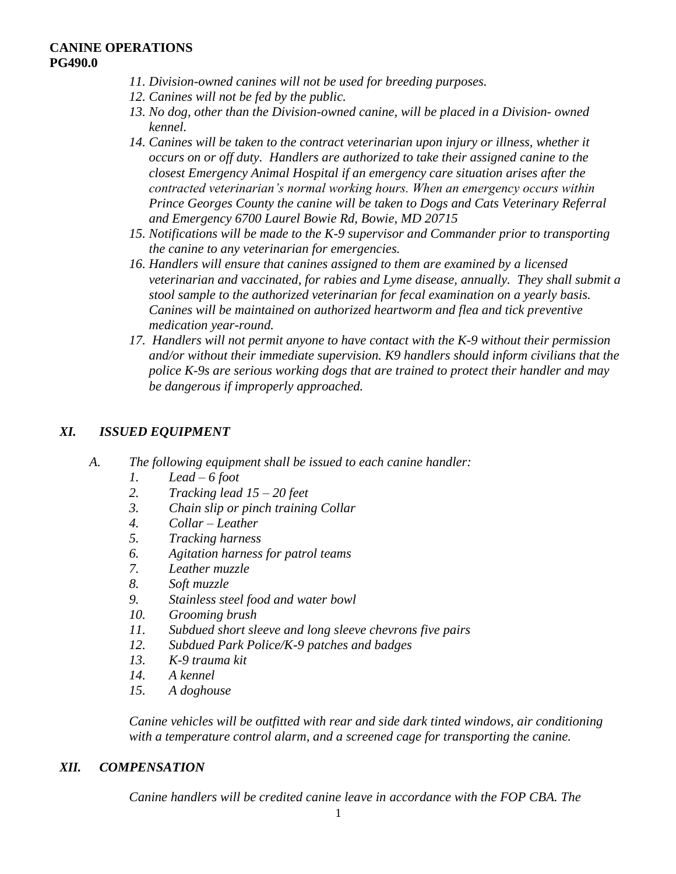- *11. Division-owned canines will not be used for breeding purposes.*
- *12. Canines will not be fed by the public.*
- *13. No dog, other than the Division-owned canine, will be placed in a Division- owned kennel.*
- *14. Canines will be taken to the contract veterinarian upon injury or illness, whether it occurs on or off duty. Handlers are authorized to take their assigned canine to the closest Emergency Animal Hospital if an emergency care situation arises after the contracted veterinarian's normal working hours. When an emergency occurs within Prince Georges County the canine will be taken to Dogs and Cats Veterinary Referral and Emergency 6700 Laurel Bowie Rd, Bowie, MD 20715*
- *15. Notifications will be made to the K-9 supervisor and Commander prior to transporting the canine to any veterinarian for emergencies.*
- *16. Handlers will ensure that canines assigned to them are examined by a licensed veterinarian and vaccinated, for rabies and Lyme disease, annually. They shall submit a stool sample to the authorized veterinarian for fecal examination on a yearly basis. Canines will be maintained on authorized heartworm and flea and tick preventive medication year-round.*
- *17. Handlers will not permit anyone to have contact with the K-9 without their permission and/or without their immediate supervision. K9 handlers should inform civilians that the police K-9s are serious working dogs that are trained to protect their handler and may be dangerous if improperly approached.*

# *XI. ISSUED EQUIPMENT*

- *A. The following equipment shall be issued to each canine handler:*
	- *1. Lead – 6 foot*
	- *2. Tracking lead 15 – 20 feet*
	- *3. Chain slip or pinch training Collar*
	- *4. Collar – Leather*
	- *5. Tracking harness*
	- *6. Agitation harness for patrol teams*
	- *7. Leather muzzle*
	- *8. Soft muzzle*
	- *9. Stainless steel food and water bowl*
	- *10. Grooming brush*
	- *11. Subdued short sleeve and long sleeve chevrons five pairs*
	- *12. Subdued Park Police/K-9 patches and badges*
	- *13. K-9 trauma kit*
	- *14. A kennel*
	- *15. A doghouse*

*Canine vehicles will be outfitted with rear and side dark tinted windows, air conditioning with a temperature control alarm, and a screened cage for transporting the canine.*

#### *XII. COMPENSATION*

*Canine handlers will be credited canine leave in accordance with the FOP CBA. The*